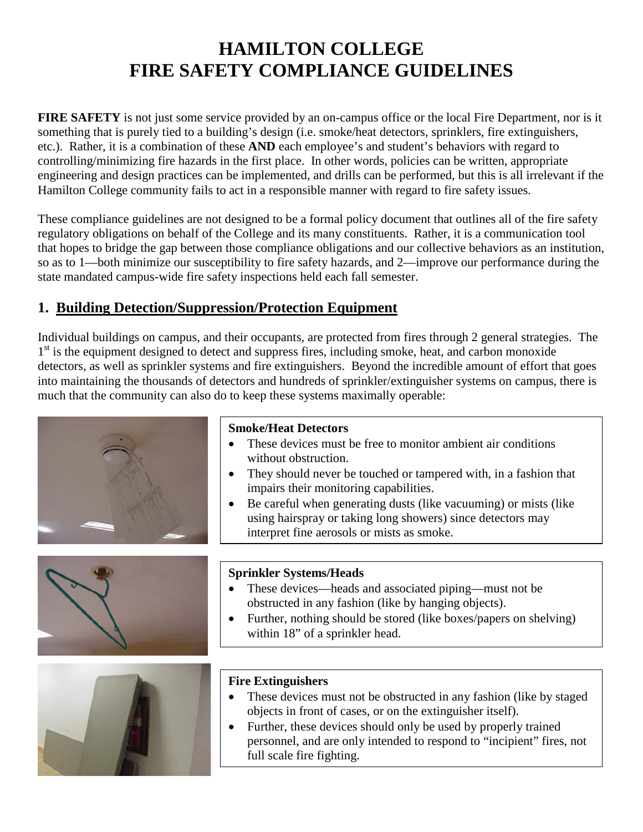# **HAMILTON COLLEGE FIRE SAFETY COMPLIANCE GUIDELINES**

**FIRE SAFETY** is not just some service provided by an on-campus office or the local Fire Department, nor is it something that is purely tied to a building's design (i.e. smoke/heat detectors, sprinklers, fire extinguishers, etc.). Rather, it is a combination of these **AND** each employee's and student's behaviors with regard to controlling/minimizing fire hazards in the first place. In other words, policies can be written, appropriate engineering and design practices can be implemented, and drills can be performed, but this is all irrelevant if the Hamilton College community fails to act in a responsible manner with regard to fire safety issues.

These compliance guidelines are not designed to be a formal policy document that outlines all of the fire safety regulatory obligations on behalf of the College and its many constituents. Rather, it is a communication tool that hopes to bridge the gap between those compliance obligations and our collective behaviors as an institution, so as to 1—both minimize our susceptibility to fire safety hazards, and 2—improve our performance during the state mandated campus-wide fire safety inspections held each fall semester.

# **1. Building Detection/Suppression/Protection Equipment**

Individual buildings on campus, and their occupants, are protected from fires through 2 general strategies. The  $1<sup>st</sup>$  is the equipment designed to detect and suppress fires, including smoke, heat, and carbon monoxide detectors, as well as sprinkler systems and fire extinguishers. Beyond the incredible amount of effort that goes into maintaining the thousands of detectors and hundreds of sprinkler/extinguisher systems on campus, there is much that the community can also do to keep these systems maximally operable:





#### **Smoke/Heat Detectors**

- These devices must be free to monitor ambient air conditions without obstruction.
- They should never be touched or tampered with, in a fashion that impairs their monitoring capabilities.
- Be careful when generating dusts (like vacuuming) or mists (like using hairspray or taking long showers) since detectors may interpret fine aerosols or mists as smoke.

#### **Sprinkler Systems/Heads**

- These devices—heads and associated piping—must not be obstructed in any fashion (like by hanging objects).
- Further, nothing should be stored (like boxes/papers on shelving) within 18" of a sprinkler head.



#### **Fire Extinguishers**

- These devices must not be obstructed in any fashion (like by staged objects in front of cases, or on the extinguisher itself).
- Further, these devices should only be used by properly trained personnel, and are only intended to respond to "incipient" fires, not full scale fire fighting.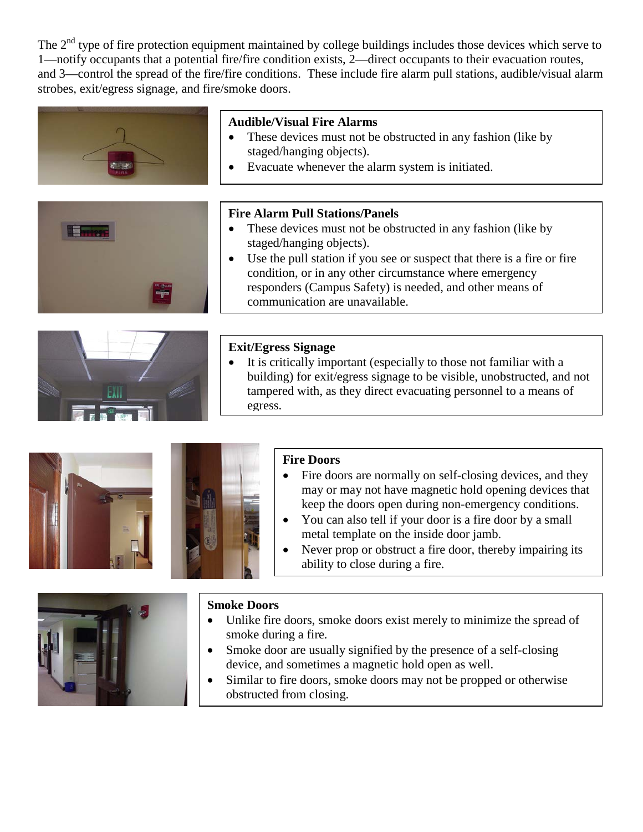The  $2<sup>nd</sup>$  type of fire protection equipment maintained by college buildings includes those devices which serve to 1—notify occupants that a potential fire/fire condition exists, 2—direct occupants to their evacuation routes, and 3—control the spread of the fire/fire conditions. These include fire alarm pull stations, audible/visual alarm strobes, exit/egress signage, and fire/smoke doors.

| <b>Audible/Visual Fire Alarms</b><br>These devices must not be obstructed in any fashion (like by<br>staged/hanging objects).<br>Evacuate whenever the alarm system is initiated.                                                                                                                                                                                      |
|------------------------------------------------------------------------------------------------------------------------------------------------------------------------------------------------------------------------------------------------------------------------------------------------------------------------------------------------------------------------|
| <b>Fire Alarm Pull Stations/Panels</b><br>These devices must not be obstructed in any fashion (like by<br>staged/hanging objects).<br>Use the pull station if you see or suspect that there is a fire or fire<br>condition, or in any other circumstance where emergency<br>responders (Campus Safety) is needed, and other means of<br>communication are unavailable. |
| <b>Exit/Egress Signage</b><br>It is critically important (especially to those not familiar with a<br>building) for exit/egress signage to be visible, unobstructed, and not<br>tampered with, as they direct evacuating personnel to a means of<br>egress.                                                                                                             |





#### **Fire Doors**

- Fire doors are normally on self-closing devices, and they may or may not have magnetic hold opening devices that keep the doors open during non-emergency conditions.
- You can also tell if your door is a fire door by a small metal template on the inside door jamb.
- Never prop or obstruct a fire door, thereby impairing its ability to close during a fire.



#### **Smoke Doors**

- Unlike fire doors, smoke doors exist merely to minimize the spread of smoke during a fire.
- Smoke door are usually signified by the presence of a self-closing device, and sometimes a magnetic hold open as well.
- Similar to fire doors, smoke doors may not be propped or otherwise obstructed from closing.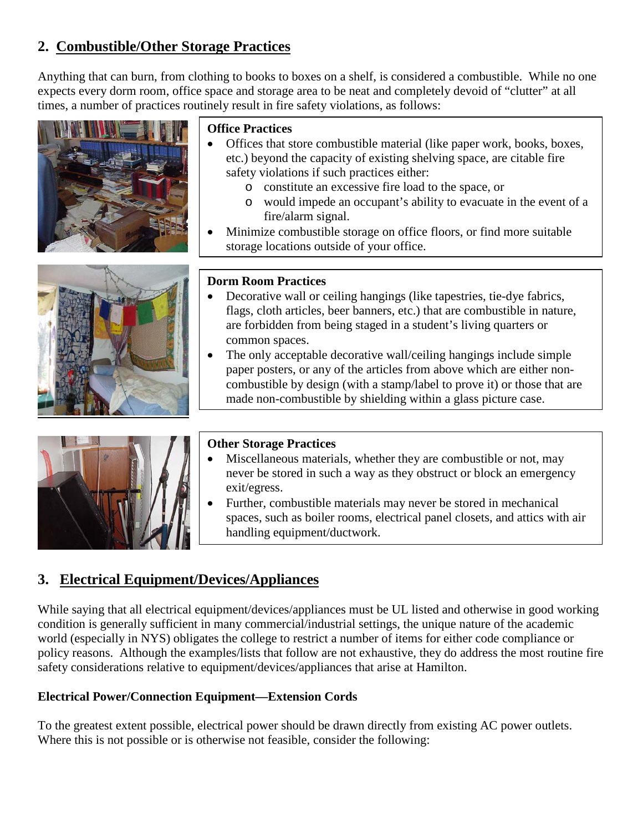# **2. Combustible/Other Storage Practices**

Anything that can burn, from clothing to books to boxes on a shelf, is considered a combustible. While no one expects every dorm room, office space and storage area to be neat and completely devoid of "clutter" at all times, a number of practices routinely result in fire safety violations, as follows:





### **Office Practices**

- Offices that store combustible material (like paper work, books, boxes, etc.) beyond the capacity of existing shelving space, are citable fire safety violations if such practices either:
	- o constitute an excessive fire load to the space, or
	- o would impede an occupant's ability to evacuate in the event of a fire/alarm signal.
- Minimize combustible storage on office floors, or find more suitable storage locations outside of your office.

#### **Dorm Room Practices**

- Decorative wall or ceiling hangings (like tapestries, tie-dye fabrics, flags, cloth articles, beer banners, etc.) that are combustible in nature, are forbidden from being staged in a student's living quarters or common spaces.
- The only acceptable decorative wall/ceiling hangings include simple paper posters, or any of the articles from above which are either noncombustible by design (with a stamp/label to prove it) or those that are made non-combustible by shielding within a glass picture case.

#### **Other Storage Practices**

- Miscellaneous materials, whether they are combustible or not, may never be stored in such a way as they obstruct or block an emergency exit/egress.
- Further, combustible materials may never be stored in mechanical spaces, such as boiler rooms, electrical panel closets, and attics with air handling equipment/ductwork.

# **3. Electrical Equipment/Devices/Appliances**

While saying that all electrical equipment/devices/appliances must be UL listed and otherwise in good working condition is generally sufficient in many commercial/industrial settings, the unique nature of the academic world (especially in NYS) obligates the college to restrict a number of items for either code compliance or policy reasons. Although the examples/lists that follow are not exhaustive, they do address the most routine fire safety considerations relative to equipment/devices/appliances that arise at Hamilton.

#### **Electrical Power/Connection Equipment—Extension Cords**

To the greatest extent possible, electrical power should be drawn directly from existing AC power outlets. Where this is not possible or is otherwise not feasible, consider the following: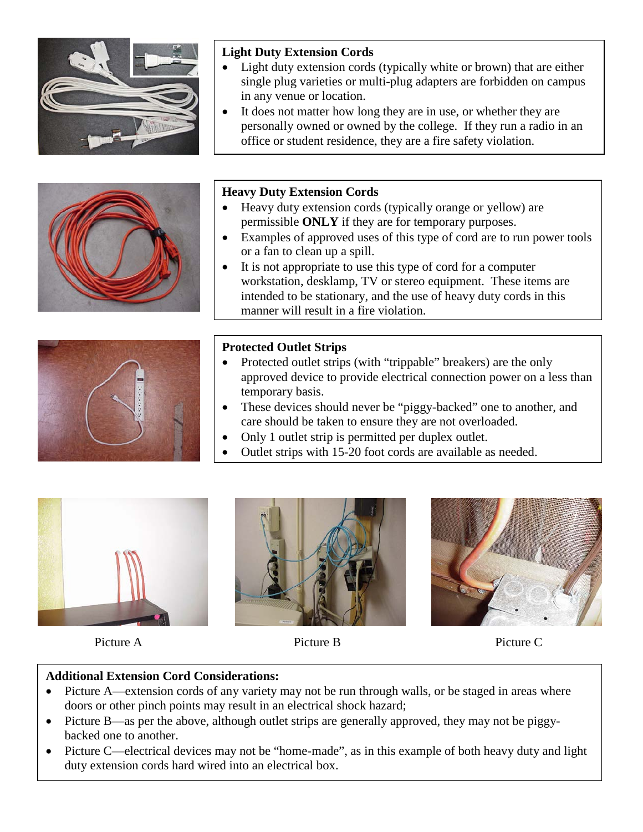

#### **Light Duty Extension Cords**

- Light duty extension cords (typically white or brown) that are either single plug varieties or multi-plug adapters are forbidden on campus in any venue or location.
- It does not matter how long they are in use, or whether they are personally owned or owned by the college. If they run a radio in an office or student residence, they are a fire safety violation.



#### **Heavy Duty Extension Cords**

- Heavy duty extension cords (typically orange or yellow) are permissible **ONLY** if they are for temporary purposes.
- Examples of approved uses of this type of cord are to run power tools or a fan to clean up a spill.
- It is not appropriate to use this type of cord for a computer workstation, desklamp, TV or stereo equipment. These items are intended to be stationary, and the use of heavy duty cords in this manner will result in a fire violation.



#### **Protected Outlet Strips**

- Protected outlet strips (with "trippable" breakers) are the only approved device to provide electrical connection power on a less than temporary basis.
- These devices should never be "piggy-backed" one to another, and care should be taken to ensure they are not overloaded.
- Only 1 outlet strip is permitted per duplex outlet.
- Outlet strips with 15-20 foot cords are available as needed.



Picture A Picture B Picture C





#### **Additional Extension Cord Considerations:**

- Picture A—extension cords of any variety may not be run through walls, or be staged in areas where doors or other pinch points may result in an electrical shock hazard;
- Picture B—as per the above, although outlet strips are generally approved, they may not be piggybacked one to another.
- Picture C—electrical devices may not be "home-made", as in this example of both heavy duty and light duty extension cords hard wired into an electrical box.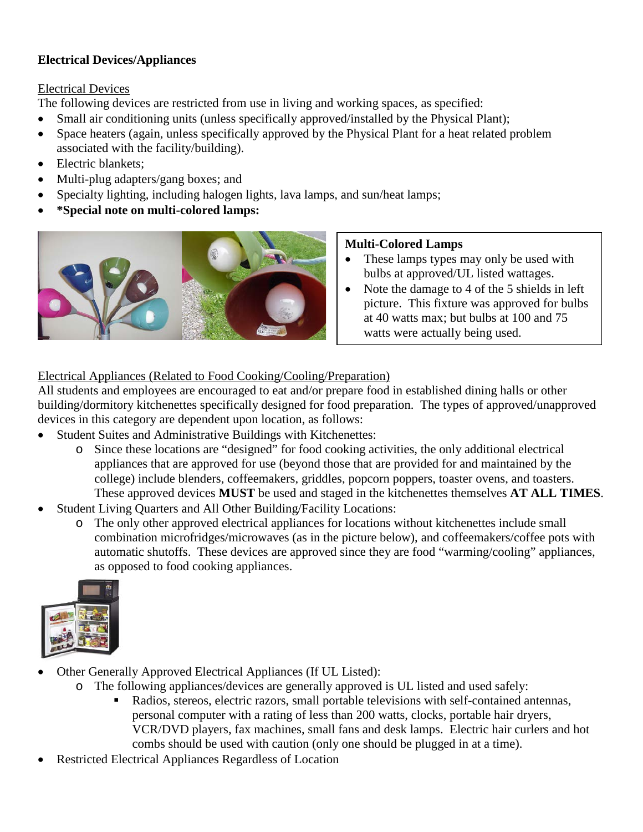#### **Electrical Devices/Appliances**

#### Electrical Devices

The following devices are restricted from use in living and working spaces, as specified:

- Small air conditioning units (unless specifically approved/installed by the Physical Plant);
- Space heaters (again, unless specifically approved by the Physical Plant for a heat related problem associated with the facility/building).
- Electric blankets:
- Multi-plug adapters/gang boxes; and
- Specialty lighting, including halogen lights, lava lamps, and sun/heat lamps;
- **\*Special note on multi-colored lamps:**



#### **Multi-Colored Lamps**

- These lamps types may only be used with bulbs at approved/UL listed wattages.
- Note the damage to 4 of the 5 shields in left picture. This fixture was approved for bulbs at 40 watts max; but bulbs at 100 and 75 watts were actually being used.

#### Electrical Appliances (Related to Food Cooking/Cooling/Preparation)

All students and employees are encouraged to eat and/or prepare food in established dining halls or other building/dormitory kitchenettes specifically designed for food preparation. The types of approved/unapproved devices in this category are dependent upon location, as follows:

- Student Suites and Administrative Buildings with Kitchenettes:
	- o Since these locations are "designed" for food cooking activities, the only additional electrical appliances that are approved for use (beyond those that are provided for and maintained by the college) include blenders, coffeemakers, griddles, popcorn poppers, toaster ovens, and toasters. These approved devices **MUST** be used and staged in the kitchenettes themselves **AT ALL TIMES**.
- Student Living Quarters and All Other Building/Facility Locations:
	- o The only other approved electrical appliances for locations without kitchenettes include small combination microfridges/microwaves (as in the picture below), and coffeemakers/coffee pots with automatic shutoffs. These devices are approved since they are food "warming/cooling" appliances, as opposed to food cooking appliances.



- Other Generally Approved Electrical Appliances (If UL Listed):
	- o The following appliances/devices are generally approved is UL listed and used safely:
		- Radios, stereos, electric razors, small portable televisions with self-contained antennas, personal computer with a rating of less than 200 watts, clocks, portable hair dryers, VCR/DVD players, fax machines, small fans and desk lamps. Electric hair curlers and hot combs should be used with caution (only one should be plugged in at a time).
- Restricted Electrical Appliances Regardless of Location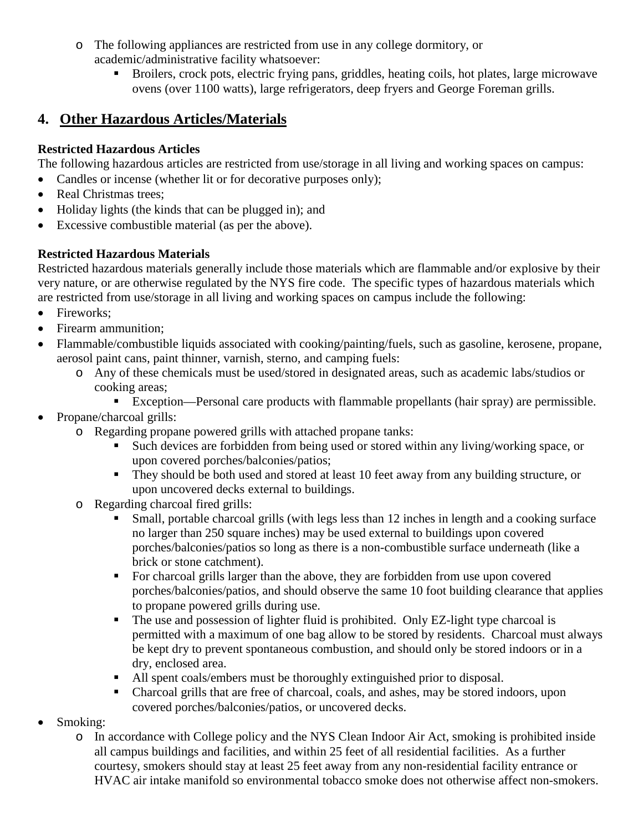- o The following appliances are restricted from use in any college dormitory, or academic/administrative facility whatsoever:
	- Broilers, crock pots, electric frying pans, griddles, heating coils, hot plates, large microwave ovens (over 1100 watts), large refrigerators, deep fryers and George Foreman grills.

# **4. Other Hazardous Articles/Materials**

#### **Restricted Hazardous Articles**

The following hazardous articles are restricted from use/storage in all living and working spaces on campus:

- Candles or incense (whether lit or for decorative purposes only);
- Real Christmas trees;
- Holiday lights (the kinds that can be plugged in); and
- Excessive combustible material (as per the above).

### **Restricted Hazardous Materials**

Restricted hazardous materials generally include those materials which are flammable and/or explosive by their very nature, or are otherwise regulated by the NYS fire code. The specific types of hazardous materials which are restricted from use/storage in all living and working spaces on campus include the following:

- Fireworks;
- Firearm ammunition;
- Flammable/combustible liquids associated with cooking/painting/fuels, such as gasoline, kerosene, propane, aerosol paint cans, paint thinner, varnish, sterno, and camping fuels:
	- o Any of these chemicals must be used/stored in designated areas, such as academic labs/studios or cooking areas;
		- Exception—Personal care products with flammable propellants (hair spray) are permissible.
- Propane/charcoal grills:
	- o Regarding propane powered grills with attached propane tanks:
		- Such devices are forbidden from being used or stored within any living/working space, or upon covered porches/balconies/patios;
		- They should be both used and stored at least 10 feet away from any building structure, or upon uncovered decks external to buildings.
		- o Regarding charcoal fired grills:
			- Small, portable charcoal grills (with legs less than 12 inches in length and a cooking surface no larger than 250 square inches) may be used external to buildings upon covered porches/balconies/patios so long as there is a non-combustible surface underneath (like a brick or stone catchment).
			- For charcoal grills larger than the above, they are forbidden from use upon covered porches/balconies/patios, and should observe the same 10 foot building clearance that applies to propane powered grills during use.
			- The use and possession of lighter fluid is prohibited. Only EZ-light type charcoal is permitted with a maximum of one bag allow to be stored by residents. Charcoal must always be kept dry to prevent spontaneous combustion, and should only be stored indoors or in a dry, enclosed area.
			- All spent coals/embers must be thoroughly extinguished prior to disposal.
			- Charcoal grills that are free of charcoal, coals, and ashes, may be stored indoors, upon covered porches/balconies/patios, or uncovered decks.
- Smoking:
	- o In accordance with College policy and the NYS Clean Indoor Air Act, smoking is prohibited inside all campus buildings and facilities, and within 25 feet of all residential facilities. As a further courtesy, smokers should stay at least 25 feet away from any non-residential facility entrance or HVAC air intake manifold so environmental tobacco smoke does not otherwise affect non-smokers.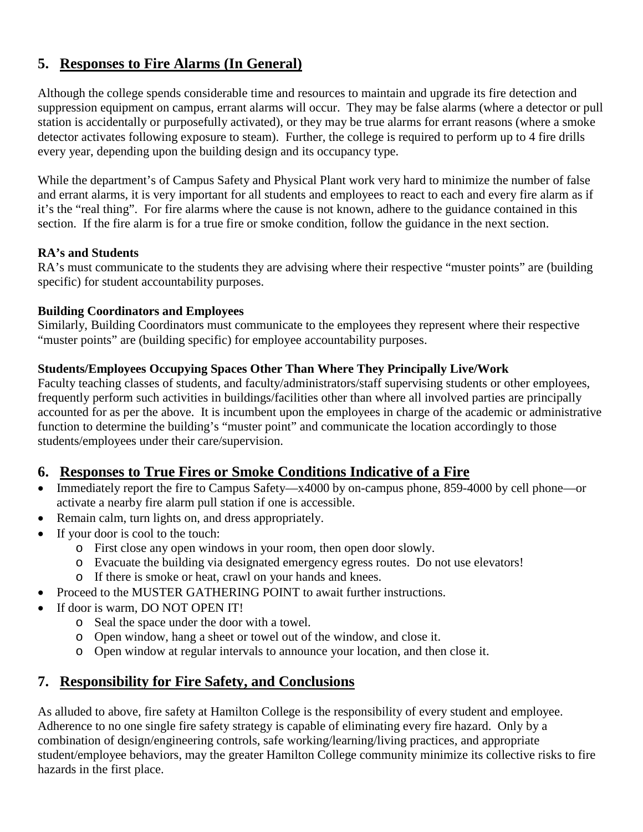## **5. Responses to Fire Alarms (In General)**

Although the college spends considerable time and resources to maintain and upgrade its fire detection and suppression equipment on campus, errant alarms will occur. They may be false alarms (where a detector or pull station is accidentally or purposefully activated), or they may be true alarms for errant reasons (where a smoke detector activates following exposure to steam). Further, the college is required to perform up to 4 fire drills every year, depending upon the building design and its occupancy type.

While the department's of Campus Safety and Physical Plant work very hard to minimize the number of false and errant alarms, it is very important for all students and employees to react to each and every fire alarm as if it's the "real thing". For fire alarms where the cause is not known, adhere to the guidance contained in this section. If the fire alarm is for a true fire or smoke condition, follow the guidance in the next section.

#### **RA's and Students**

RA's must communicate to the students they are advising where their respective "muster points" are (building specific) for student accountability purposes.

#### **Building Coordinators and Employees**

Similarly, Building Coordinators must communicate to the employees they represent where their respective "muster points" are (building specific) for employee accountability purposes.

#### **Students/Employees Occupying Spaces Other Than Where They Principally Live/Work**

Faculty teaching classes of students, and faculty/administrators/staff supervising students or other employees, frequently perform such activities in buildings/facilities other than where all involved parties are principally accounted for as per the above. It is incumbent upon the employees in charge of the academic or administrative function to determine the building's "muster point" and communicate the location accordingly to those students/employees under their care/supervision.

#### **6. Responses to True Fires or Smoke Conditions Indicative of a Fire**

- Immediately report the fire to Campus Safety—x4000 by on-campus phone, 859-4000 by cell phone—or activate a nearby fire alarm pull station if one is accessible.
- Remain calm, turn lights on, and dress appropriately.
- If your door is cool to the touch:
	- o First close any open windows in your room, then open door slowly.
	- o Evacuate the building via designated emergency egress routes. Do not use elevators!
	- o If there is smoke or heat, crawl on your hands and knees.
- Proceed to the MUSTER GATHERING POINT to await further instructions.
- If door is warm, DO NOT OPEN IT!
	- o Seal the space under the door with a towel.
	- o Open window, hang a sheet or towel out of the window, and close it.
	- o Open window at regular intervals to announce your location, and then close it.

#### **7. Responsibility for Fire Safety, and Conclusions**

As alluded to above, fire safety at Hamilton College is the responsibility of every student and employee. Adherence to no one single fire safety strategy is capable of eliminating every fire hazard. Only by a combination of design/engineering controls, safe working/learning/living practices, and appropriate student/employee behaviors, may the greater Hamilton College community minimize its collective risks to fire hazards in the first place.